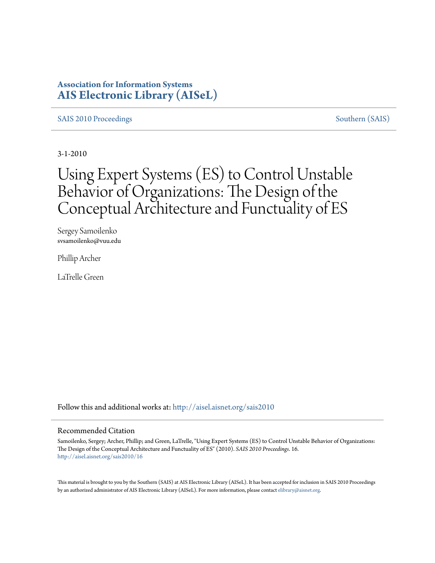### **Association for Information Systems [AIS Electronic Library \(AISeL\)](http://aisel.aisnet.org?utm_source=aisel.aisnet.org%2Fsais2010%2F16&utm_medium=PDF&utm_campaign=PDFCoverPages)**

#### [SAIS 2010 Proceedings](http://aisel.aisnet.org/sais2010?utm_source=aisel.aisnet.org%2Fsais2010%2F16&utm_medium=PDF&utm_campaign=PDFCoverPages) [Southern \(SAIS\)](http://aisel.aisnet.org/sais?utm_source=aisel.aisnet.org%2Fsais2010%2F16&utm_medium=PDF&utm_campaign=PDFCoverPages)

3-1-2010

# Using Expert Systems (ES) to Control Unstable Behavior of Organizations: The Design of the Conceptual Architecture and Functuality of ES

Sergey Samoilenko svsamoilenko@vuu.edu

Phillip Archer

LaTrelle Green

Follow this and additional works at: [http://aisel.aisnet.org/sais2010](http://aisel.aisnet.org/sais2010?utm_source=aisel.aisnet.org%2Fsais2010%2F16&utm_medium=PDF&utm_campaign=PDFCoverPages)

#### Recommended Citation

Samoilenko, Sergey; Archer, Phillip; and Green, LaTrelle, "Using Expert Systems (ES) to Control Unstable Behavior of Organizations: The Design of the Conceptual Architecture and Functuality of ES" (2010). *SAIS 2010 Proceedings*. 16. [http://aisel.aisnet.org/sais2010/16](http://aisel.aisnet.org/sais2010/16?utm_source=aisel.aisnet.org%2Fsais2010%2F16&utm_medium=PDF&utm_campaign=PDFCoverPages)

This material is brought to you by the Southern (SAIS) at AIS Electronic Library (AISeL). It has been accepted for inclusion in SAIS 2010 Proceedings by an authorized administrator of AIS Electronic Library (AISeL). For more information, please contact [elibrary@aisnet.org](mailto:elibrary@aisnet.org%3E).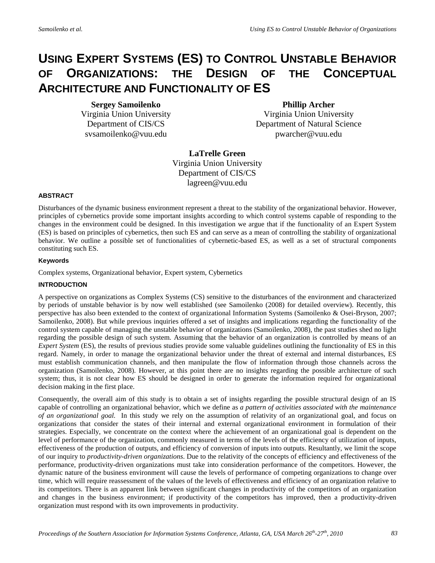## **USING EXPERT SYSTEMS (ES) TO CONTROL UNSTABLE BEHAVIOR OF ORGANIZATIONS: THE DESIGN OF THE CONCEPTUAL ARCHITECTURE AND FUNCTIONALITY OF ES**

**Sergey Samoilenko**

Virginia Union University Department of CIS/CS [svsamoilenko@vuu.edu](mailto:svsamoilenko@vuu.edu) 

**Phillip Archer**

Virginia Union University Department of Natural Science [pwarcher@vuu.edu](mailto:pwarcher@vuu.edu)

**LaTrelle Green** Virginia Union University Department of CIS/CS [lagreen@vuu.edu](mailto:lagreen@vuu.edu) 

#### **ABSTRACT**

Disturbances of the dynamic business environment represent a threat to the stability of the organizational behavior. However, principles of cybernetics provide some important insights according to which control systems capable of responding to the changes in the environment could be designed. In this investigation we argue that if the functionality of an Expert System (ES) is based on principles of cybernetics, then such ES and can serve as a mean of controlling the stability of organizational behavior. We outline a possible set of functionalities of cybernetic-based ES, as well as a set of structural components constituting such ES.

#### **Keywords**

Complex systems, Organizational behavior, Expert system, Cybernetics

#### **INTRODUCTION**

A perspective on organizations as Complex Systems (CS) sensitive to the disturbances of the environment and characterized by periods of unstable behavior is by now well established (see Samoilenko (2008) for detailed overview). Recently, this perspective has also been extended to the context of organizational Information Systems (Samoilenko & Osei-Bryson, 2007; Samoilenko, 2008). But while previous inquiries offered a set of insights and implications regarding the functionality of the control system capable of managing the unstable behavior of organizations (Samoilenko, 2008), the past studies shed no light regarding the possible design of such system. Assuming that the behavior of an organization is controlled by means of an *Expert System* (ES), the results of previous studies provide some valuable guidelines outlining the functionality of ES in this regard. Namely, in order to manage the organizational behavior under the threat of external and internal disturbances, ES must establish communication channels, and then manipulate the flow of information through those channels across the organization (Samoilenko, 2008). However, at this point there are no insights regarding the possible architecture of such system; thus, it is not clear how ES should be designed in order to generate the information required for organizational decision making in the first place.

Consequently, the overall aim of this study is to obtain a set of insights regarding the possible structural design of an IS capable of controlling an organizational behavior, which we define as *a pattern of activities associated with the maintenance of an organizational goal.* In this study we rely on the assumption of relativity of an organizational goal, and focus on organizations that consider the states of their internal and external organizational environment in formulation of their strategies. Especially, we concentrate on the context where the achievement of an organizational goal is dependent on the level of performance of the organization, commonly measured in terms of the levels of the efficiency of utilization of inputs, effectiveness of the production of outputs, and efficiency of conversion of inputs into outputs. Resultantly, we limit the scope of our inquiry to *productivity-driven organizations*. Due to the relativity of the concepts of efficiency and effectiveness of the performance, productivity-driven organizations must take into consideration performance of the competitors. However, the dynamic nature of the business environment will cause the levels of performance of competing organizations to change over time, which will require reassessment of the values of the levels of effectiveness and efficiency of an organization relative to its competitors. There is an apparent link between significant changes in productivity of the competitors of an organization and changes in the business environment; if productivity of the competitors has improved, then a productivity-driven organization must respond with its own improvements in productivity.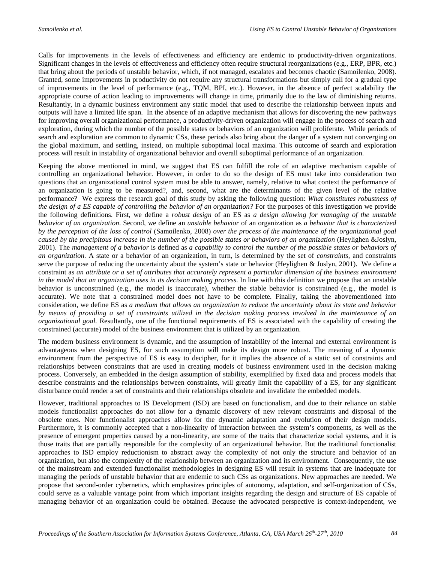Calls for improvements in the levels of effectiveness and efficiency are endemic to productivity-driven organizations. Significant changes in the levels of effectiveness and efficiency often require structural reorganizations (e.g., ERP, BPR, etc.) that bring about the periods of unstable behavior, which, if not managed, escalates and becomes chaotic (Samoilenko, 2008). Granted, some improvements in productivity do not require any structural transformations but simply call for a gradual type of improvements in the level of performance (e.g., TQM, BPI, etc.). However, in the absence of perfect scalability the appropriate course of action leading to improvements will change in time, primarily due to the law of diminishing returns. Resultantly, in a dynamic business environment any static model that used to describe the relationship between inputs and outputs will have a limited life span. In the absence of an adaptive mechanism that allows for discovering the new pathways for improving overall organizational performance, a productivity-driven organization will engage in the process of search and exploration, during which the number of the possible states or behaviors of an organization will proliferate. While periods of search and exploration are common to dynamic CSs, these periods also bring about the danger of a system not converging on the global maximum, and settling, instead, on multiple suboptimal local maxima. This outcome of search and exploration process will result in instability of organizational behavior and overall suboptimal performance of an organization.

Keeping the above mentioned in mind, we suggest that ES can fulfill the role of an adaptive mechanism capable of controlling an organizational behavior. However, in order to do so the design of ES must take into consideration two questions that an organizational control system must be able to answer, namely, relative to what context the performance of an organization is going to be measured?, and, second, what are the determinants of the given level of the relative performance? We express the research goal of this study by asking the following question: *What constitutes robustness of the design of a ES capable of controlling the behavior of an organization?* For the purposes of this investigation we provide the following definitions. First, we define a *robust design* of an ES as *a design allowing for managing of the unstable behavior of an organization*. Second, we define an *unstable behavior* of an organization as *a behavior that is characterized by the perception of the loss of control* (Samoilenko, 2008) *over the process of the maintenance of the organizational goal caused by the precipitous increase in the number of the possible states or behaviors of an organization* (Heylighen &Joslyn, 2001). The *management of a behavior* is defined as *a capability to control the number of the possible states or behaviors of an organization*. A state or a behavior of an organization, in turn, is determined by the set of *constraints*, and constraints serve the purpose of reducing the uncertainty about the system's state or behavior (Heylighen & Joslyn, 2001). We define a constraint as *an attribute or a set of attributes that accurately represent a particular dimension of the business environment in the model that an organization uses in its decision making process*. In line with this definition we propose that an unstable behavior is unconstrained (e.g., the model is inaccurate), whether the stable behavior is constrained (e.g., the model is accurate). We note that a constrained model does not have to be complete. Finally, taking the abovementioned into consideration, we define ES as *a medium that allows an organization to reduce the uncertainty about its state and behavior by means of providing a set of constraints utilized in the decision making process involved in the maintenance of an organizational goal.* Resultantly, one of the functional requirements of ES is associated with the capability of creating the constrained (accurate) model of the business environment that is utilized by an organization.

The modern business environment is dynamic, and the assumption of instability of the internal and external environment is advantageous when designing ES, for such assumption will make its design more robust. The meaning of a dynamic environment from the perspective of ES is easy to decipher, for it implies the absence of a static set of constraints and relationships between constraints that are used in creating models of business environment used in the decision making process. Conversely, an embedded in the design assumption of stability, exemplified by fixed data and process models that describe constraints and the relationships between constraints, will greatly limit the capability of a ES, for any significant disturbance could render a set of constraints and their relationships obsolete and invalidate the embedded models.

However, traditional approaches to IS Development (ISD) are based on functionalism, and due to their reliance on stable models functionalist approaches do not allow for a dynamic discovery of new relevant constraints and disposal of the obsolete ones. Nor functionalist approaches allow for the dynamic adaptation and evolution of their design models. Furthermore, it is commonly accepted that a non-linearity of interaction between the system's components, as well as the presence of emergent properties caused by a non-linearity, are some of the traits that characterize social systems, and it is those traits that are partially responsible for the complexity of an organizational behavior. But the traditional functionalist approaches to ISD employ reductionism to abstract away the complexity of not only the structure and behavior of an organization, but also the complexity of the relationship between an organization and its environment. Consequently, the use of the mainstream and extended functionalist methodologies in designing ES will result in systems that are inadequate for managing the periods of unstable behavior that are endemic to such CSs as organizations. New approaches are needed. We propose that second-order cybernetics, which emphasizes principles of autonomy, adaptation, and self-organization of CSs, could serve as a valuable vantage point from which important insights regarding the design and structure of ES capable of managing behavior of an organization could be obtained. Because the advocated perspective is context-independent, we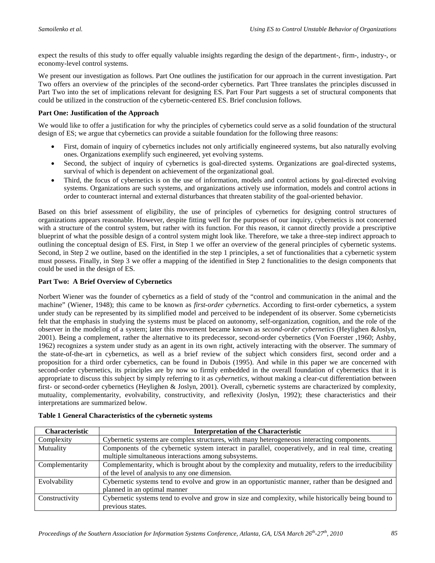expect the results of this study to offer equally valuable insights regarding the design of the department-, firm-, industry-, or economy-level control systems.

We present our investigation as follows. Part One outlines the justification for our approach in the current investigation. Part Two offers an overview of the principles of the second-order cybernetics. Part Three translates the principles discussed in Part Two into the set of implications relevant for designing ES. Part Four Part suggests a set of structural components that could be utilized in the construction of the cybernetic-centered ES. Brief conclusion follows.

#### **Part One: Justification of the Approach**

We would like to offer a justification for why the principles of cybernetics could serve as a solid foundation of the structural design of ES; we argue that cybernetics can provide a suitable foundation for the following three reasons:

- First, domain of inquiry of cybernetics includes not only artificially engineered systems, but also naturally evolving ones. Organizations exemplify such engineered, yet evolving systems.
- Second, the subject of inquiry of cybernetics is goal-directed systems. Organizations are goal-directed systems, survival of which is dependent on achievement of the organizational goal.
- Third, the focus of cybernetics is on the use of information, models and control actions by goal-directed evolving systems. Organizations are such systems, and organizations actively use information, models and control actions in order to counteract internal and external disturbances that threaten stability of the goal-oriented behavior.

Based on this brief assessment of eligibility, the use of principles of cybernetics for designing control structures of organizations appears reasonable. However, despite fitting well for the purposes of our inquiry, cybernetics is not concerned with a structure of the control system, but rather with its function. For this reason, it cannot directly provide a prescriptive blueprint of what the possible design of a control system might look like. Therefore, we take a three-step indirect approach to outlining the conceptual design of ES. First, in Step 1 we offer an overview of the general principles of cybernetic systems. Second, in Step 2 we outline, based on the identified in the step 1 principles, a set of functionalities that a cybernetic system must possess. Finally, in Step 3 we offer a mapping of the identified in Step 2 functionalities to the design components that could be used in the design of ES.

#### **Part Two: A Brief Overview of Cybernetics**

Norbert Wiener was the founder of cybernetics as a field of study of the "control and communication in the animal and the machine" (Wiener, 1948); this came to be known as *first-order cybernetics*. According to first-order cybernetics, a system under study can be represented by its simplified model and perceived to be independent of its observer. Some cyberneticists felt that the emphasis in studying the systems must be placed on autonomy, self-organization, cognition, and the role of the observer in the modeling of a system; later this movement became known as *second-order cybernetics* (Heylighen &Joslyn, 2001). Being a complement, rather the alternative to its predecessor, second-order cybernetics (Von Foerster ,1960; Ashby, 1962) recognizes a system under study as an agent in its own right, actively interacting with the observer. The summary of the state-of-the-art in cybernetics, as well as a brief review of the subject which considers first, second order and a proposition for a third order cybernetics, can be found in Dubois (1995). And while in this paper we are concerned with second-order cybernetics, its principles are by now so firmly embedded in the overall foundation of cybernetics that it is appropriate to discuss this subject by simply referring to it as *cybernetics*, without making a clear-cut differentiation between first- or second-order cybernetics (Heylighen & Joslyn, 2001). Overall, cybernetic systems are characterized by complexity, mutuality, complementarity, evolvability, constructivity, and reflexivity (Joslyn, 1992); these characteristics and their interpretations are summarized below.

| <b>Characteristic</b> | <b>Interpretation of the Characteristic</b>                                                           |  |  |
|-----------------------|-------------------------------------------------------------------------------------------------------|--|--|
| Complexity            | Cybernetic systems are complex structures, with many heterogeneous interacting components.            |  |  |
| Mutuality             | Components of the cybernetic system interact in parallel, cooperatively, and in real time, creating   |  |  |
|                       | multiple simultaneous interactions among subsystems.                                                  |  |  |
| Complementarity       | Complementarity, which is brought about by the complexity and mutuality, refers to the irreducibility |  |  |
|                       | of the level of analysis to any one dimension.                                                        |  |  |
| Evolvability          | Cybernetic systems tend to evolve and grow in an opportunistic manner, rather than be designed and    |  |  |
|                       | planned in an optimal manner                                                                          |  |  |
| Constructivity        | Cybernetic systems tend to evolve and grow in size and complexity, while historically being bound to  |  |  |
|                       | previous states.                                                                                      |  |  |

**Table 1 General Characteristics of the cybernetic systems**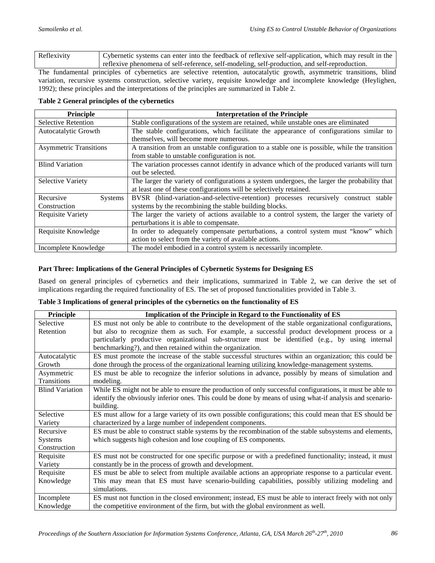Reflexivity Cybernetic systems can enter into the feedback of reflexive self-application, which may result in the reflexive phenomena of self-reference, self-modeling, self-production, and self-reproduction.

The fundamental principles of cybernetics are selective retention, autocatalytic growth, asymmetric transitions, blind variation, recursive systems construction, selective variety, requisite knowledge and incomplete knowledge (Heylighen, 1992); these principles and the interpretations of the principles are summarized in Table 2.

#### **Table 2 General principles of the cybernetics**

| <b>Principle</b>              | <b>Interpretation of the Principle</b>                                                        |  |
|-------------------------------|-----------------------------------------------------------------------------------------------|--|
| <b>Selective Retention</b>    | Stable configurations of the system are retained, while unstable ones are eliminated          |  |
| Autocatalytic Growth          | The stable configurations, which facilitate the appearance of configurations similar to       |  |
|                               | themselves, will become more numerous.                                                        |  |
| <b>Asymmetric Transitions</b> | A transition from an unstable configuration to a stable one is possible, while the transition |  |
|                               | from stable to unstable configuration is not.                                                 |  |
| <b>Blind Variation</b>        | The variation processes cannot identify in advance which of the produced variants will turn   |  |
|                               | out be selected.                                                                              |  |
| <b>Selective Variety</b>      | The larger the variety of configurations a system undergoes, the larger the probability that  |  |
|                               | at least one of these configurations will be selectively retained.                            |  |
| Recursive<br><b>Systems</b>   | BVSR (blind-variation-and-selective-retention) processes recursively construct stable         |  |
| Construction                  | systems by the recombining the stable building blocks.                                        |  |
| <b>Requisite Variety</b>      | The larger the variety of actions available to a control system, the larger the variety of    |  |
|                               | perturbations it is able to compensate.                                                       |  |
| Requisite Knowledge           | In order to adequately compensate perturbations, a control system must "know" which           |  |
|                               | action to select from the variety of available actions.                                       |  |
| Incomplete Knowledge          | The model embodied in a control system is necessarily incomplete.                             |  |

#### **Part Three: Implications of the General Principles of Cybernetic Systems for Designing ES**

Based on general principles of cybernetics and their implications, summarized in Table 2, we can derive the set of implications regarding the required functionality of ES. The set of proposed functionalities provided in Table 3.

#### **Table 3 Implications of general principles of the cybernetics on the functionality of ES**

| Principle              | Implication of the Principle in Regard to the Functionality of ES                                         |  |
|------------------------|-----------------------------------------------------------------------------------------------------------|--|
| Selective              | ES must not only be able to contribute to the development of the stable organizational configurations,    |  |
| Retention              | but also to recognize them as such. For example, a successful product development process or a            |  |
|                        | particularly productive organizational sub-structure must be identified (e.g., by using internal          |  |
|                        | benchmarking?), and then retained within the organization.                                                |  |
| Autocatalytic          | ES must promote the increase of the stable successful structures within an organization; this could be    |  |
| Growth                 | done through the process of the organizational learning utilizing knowledge-management systems.           |  |
| Asymmetric             | ES must be able to recognize the inferior solutions in advance, possibly by means of simulation and       |  |
| Transitions            | modeling.                                                                                                 |  |
| <b>Blind Variation</b> | While ES might not be able to ensure the production of only successful configurations, it must be able to |  |
|                        | identify the obviously inferior ones. This could be done by means of using what-if analysis and scenario- |  |
|                        | building.                                                                                                 |  |
| Selective              | ES must allow for a large variety of its own possible configurations; this could mean that ES should be   |  |
| Variety                | characterized by a large number of independent components.                                                |  |
| Recursive              | ES must be able to construct stable systems by the recombination of the stable subsystems and elements,   |  |
| <b>Systems</b>         | which suggests high cohesion and lose coupling of ES components.                                          |  |
| Construction           |                                                                                                           |  |
| Requisite              | ES must not be constructed for one specific purpose or with a predefined functionality; instead, it must  |  |
| Variety                | constantly be in the process of growth and development.                                                   |  |
| Requisite              | ES must be able to select from multiple available actions an appropriate response to a particular event.  |  |
| Knowledge              | This may mean that ES must have scenario-building capabilities, possibly utilizing modeling and           |  |
|                        | simulations.                                                                                              |  |
| Incomplete             | ES must not function in the closed environment; instead, ES must be able to interact freely with not only |  |
| Knowledge              | the competitive environment of the firm, but with the global environment as well.                         |  |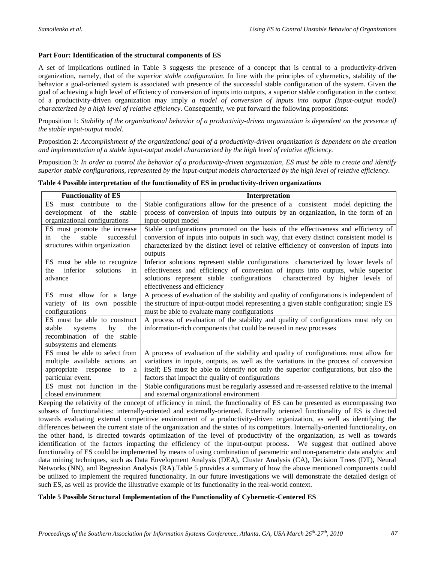#### **Part Four: Identification of the structural components of ES**

A set of implications outlined in Table 3 suggests the presence of a concept that is central to a productivity-driven organization, namely, that of the *superior stable configuration*. In line with the principles of cybernetics, stability of the behavior a goal-oriented system is associated with presence of the successful stable configuration of the system. Given the goal of achieving a high level of efficiency of conversion of inputs into outputs, a superior stable configuration in the context of a productivity-driven organization may imply *a model of conversion of inputs into output (input-output model) characterized by a high level of relative efficiency*. Consequently, we put forward the following propositions:

Proposition 1: *Stability of the organizational behavior of a productivity-driven organization is dependent on the presence of the stable input-output model.*

Proposition 2: *Accomplishment of the organizational goal of a productivity-driven organization is dependent on the creation and implementation of a stable input-output model characterized by the high level of relative efficiency.*

Proposition 3: *In order to control the behavior of a productivity-driven organization, ES must be able to create and identify superior stable configurations, represented by the input-output models characterized by the high level of relative efficiency.*

| <b>Functionality of ES</b>          | Interpretation                                                                            |  |
|-------------------------------------|-------------------------------------------------------------------------------------------|--|
| must contribute<br>ES.<br>the<br>to | Stable configurations allow for the presence of a consistent model depicting the          |  |
| development of the<br>stable        | process of conversion of inputs into outputs by an organization, in the form of an        |  |
| organizational configurations       | input-output model                                                                        |  |
| ES must promote the increase        | Stable configurations promoted on the basis of the effectiveness and efficiency of        |  |
| stable<br>successful<br>the<br>in   | conversion of inputs into outputs in such way, that every distinct consistent model is    |  |
| structures within organization      | characterized by the distinct level of relative efficiency of conversion of inputs into   |  |
|                                     | outputs                                                                                   |  |
| ES must be able to recognize        | Inferior solutions represent stable configurations characterized by lower levels of       |  |
| inferior<br>solutions<br>the<br>in  | effectiveness and efficiency of conversion of inputs into outputs, while superior         |  |
| advance                             | characterized by higher levels of<br>solutions represent stable configurations            |  |
|                                     | effectiveness and efficiency                                                              |  |
| ES must allow for a large           | A process of evaluation of the stability and quality of configurations is independent of  |  |
| variety of its own possible         | the structure of input-output model representing a given stable configuration; single ES  |  |
| configurations                      | must be able to evaluate many configurations                                              |  |
| ES must be able to construct        | A process of evaluation of the stability and quality of configurations must rely on       |  |
| stable<br>the<br>by<br>systems      | information-rich components that could be reused in new processes                         |  |
| recombination of the stable         |                                                                                           |  |
| subsystems and elements             |                                                                                           |  |
| ES must be able to select from      | A process of evaluation of the stability and quality of configurations must allow for     |  |
| multiple available actions an       | variations in inputs, outputs, as well as the variations in the process of conversion     |  |
| appropriate<br>response<br>to<br>a  | itself; ES must be able to identify not only the superior configurations, but also the    |  |
| particular event.                   | factors that impact the quality of configurations                                         |  |
| ES must not function in the         | Stable configurations must be regularly assessed and re-assessed relative to the internal |  |
| closed environment                  | and external organizational environment                                                   |  |

**Table 4 Possible interpretation of the functionality of ES in productivity-driven organizations**

Keeping the relativity of the concept of efficiency in mind, the functionality of ES can be presented as encompassing two subsets of functionalities: internally-oriented and externally-oriented. Externally oriented functionality of ES is directed towards evaluating external competitive environment of a productivity-driven organization, as well as identifying the differences between the current state of the organization and the states of its competitors. Internally-oriented functionality, on the other hand, is directed towards optimization of the level of productivity of the organization, as well as towards identification of the factors impacting the efficiency of the input-output process. We suggest that outlined above functionality of ES could be implemented by means of using combination of parametric and non-parametric data analytic and data mining techniques, such as Data Envelopment Analysis (DEA), Cluster Analysis (CA), Decision Trees (DT), Neural Networks (NN), and Regression Analysis (RA).Table 5 provides a summary of how the above mentioned components could be utilized to implement the required functionality. In our future investigations we will demonstrate the detailed design of such ES, as well as provide the illustrative example of its functionality in the real-world context.

#### **Table 5 Possible Structural Implementation of the Functionality of Cybernetic-Centered ES**